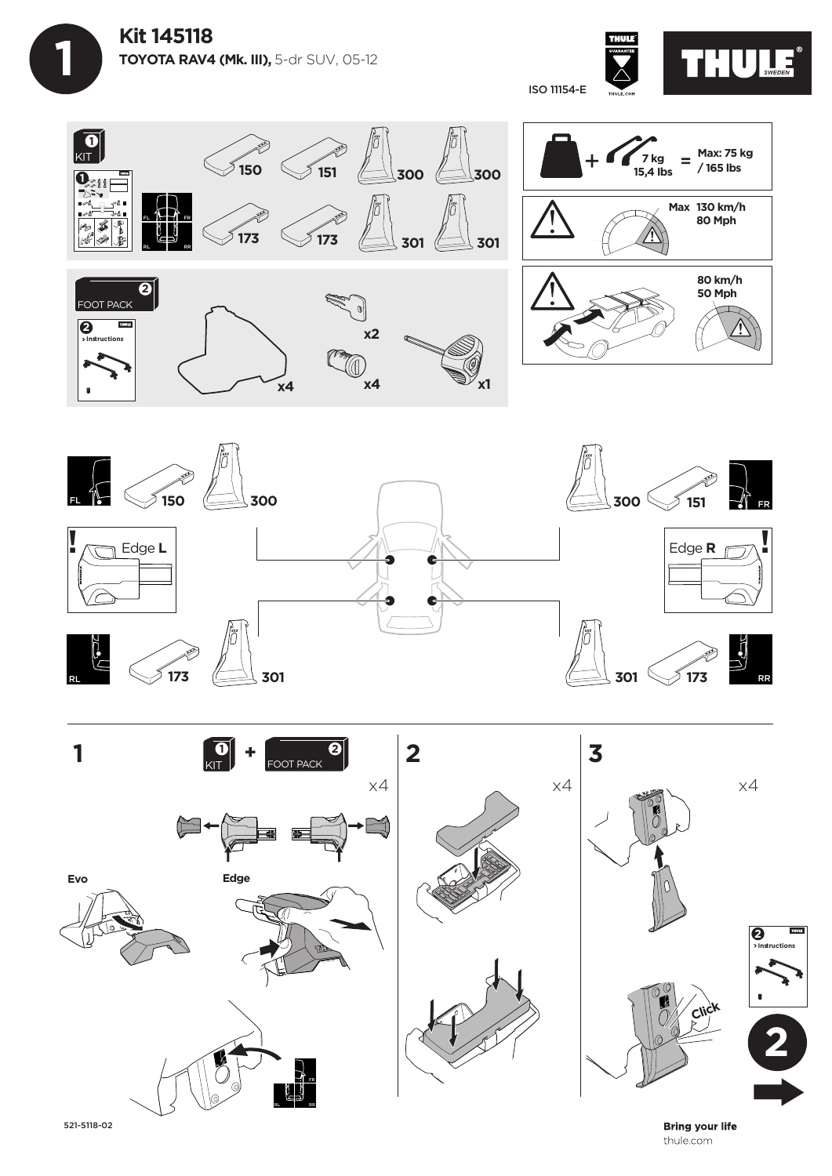









521-5118-02

**Bring your life** thule.com